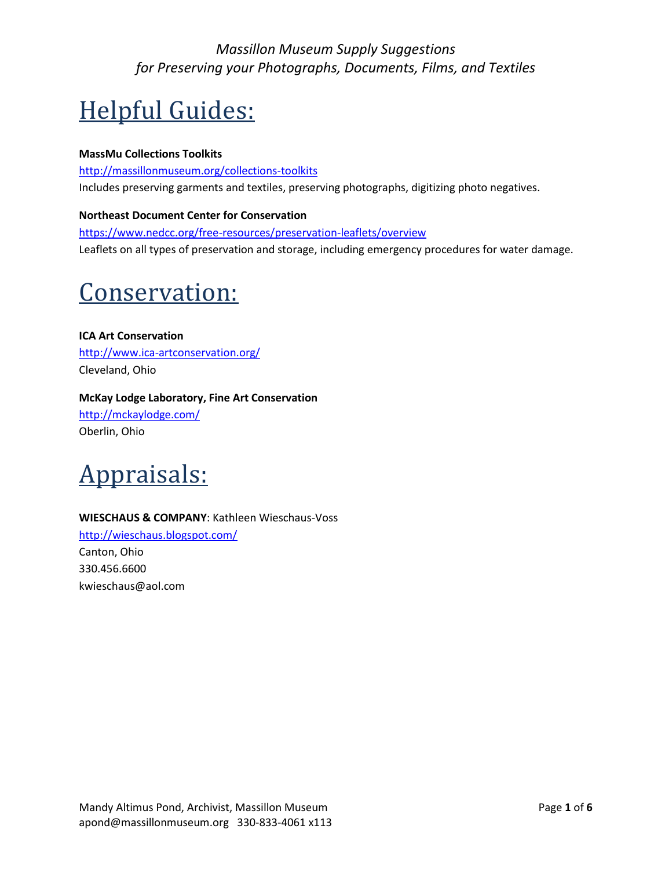# Helpful Guides:

### **MassMu Collections Toolkits**

<http://massillonmuseum.org/collections-toolkits> Includes preserving garments and textiles, preserving photographs, digitizing photo negatives.

### **Northeast Document Center for Conservation**

<https://www.nedcc.org/free-resources/preservation-leaflets/overview> Leaflets on all types of preservation and storage, including emergency procedures for water damage.

# Conservation:

**ICA Art Conservation** <http://www.ica-artconservation.org/> Cleveland, Ohio

## **McKay Lodge Laboratory, Fine Art Conservation**

<http://mckaylodge.com/> Oberlin, Ohio



### **WIESCHAUS & COMPANY**: Kathleen Wieschaus-Voss

<http://wieschaus.blogspot.com/> Canton, Ohio 330.456.6600 kwieschaus@aol.com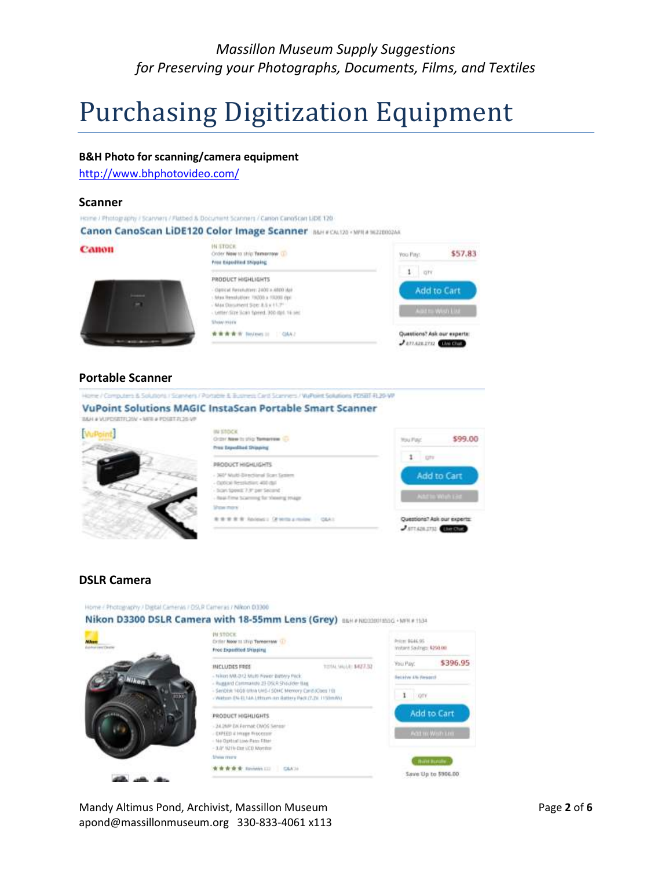# Purchasing Digitization Equipment

#### **B&H Photo for scanning/camera equipment**

<http://www.bhphotovideo.com/>

#### **Scanner**

#### Home / Photography / Scarviers / Platbed & Document Scanners / Canon CanoScan LiDE 120

Canon CanoScan LiDE120 Color Image Scanner BUFFOLI20 - MPLA 9622002AA



#### **Portable Scanner**

e / Computers & Solutions / Scanners / Pontable & Business Card Sciences / WaPoint Solutions PDSBT RL29-WP



#### **DSLR Camera**

Home / Photography / Digital Cameras / OSLR Cameras / Nikon 03300 Nikon D3300 DSLR Camera with 18-55mm Lens (Grey) BERFACEDONESG - MPRETISH IN STOCK Prize: \$646.95 Citizer Now to ship Tomorrow (2) instant Sayings: 4250.00 Free Digestited Displays \$396.95 You Pay: TOTAL MUSIC \$427.32 INCLUDES FREE Niron MB.Dr.2 Multi Fower Battery Pack Seckive All Reversi huggard Commando 23-DSLR Shoulder ling SanDisk 1608 Ultra UHS-I SOHC Memory Canifacture 100  $1$  orv Watson EN-EL MA Littman ain Battery Pack (7.2x 1150mW) Add to Cart PRODUCT HIGHLIGHTS - 24.2MP DA Fermat CNOS Sensa EXPEED at Imager Processor No Option Low Pato Filter - 3.0" N21% Dat LCD Months *Unio mare* **Think Bundle 水青青青青 Sivings III G&A20** Save Up to \$906.00

Mandy Altimus Pond, Archivist, Massillon Museum Page **2** of **6** apond@massillonmuseum.org 330-833-4061 x113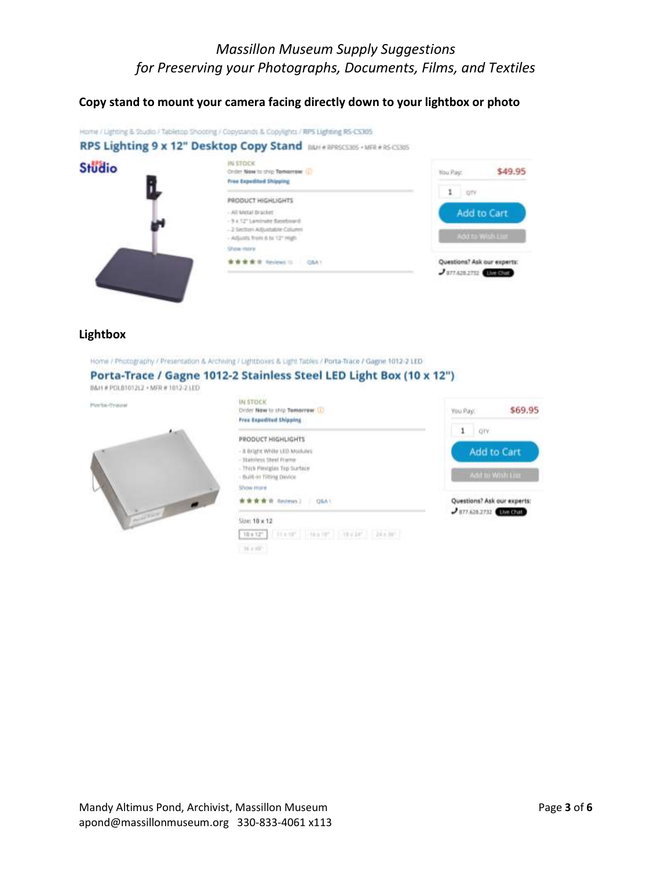## **Copy stand to mount your camera facing directly down to your lightbox or photo**



#### **Lightbox**

Home / Photography / Presentation & Archiving / Lightboxes & Light Tables / Porta-Trace / Gagne 1012-2 LED

#### Porta-Trace / Gagne 1012-2 Stainless Steel LED Light Box (10 x 12")

B&H # POLBT012L2 + MFR # 1012-2 LED

Piccita-Trevel



| IN STOCK<br>Drder Now to ship Temerrow. (1)<br>Free Expedited Shipping                                                | \$69.95<br>You Pay.                                            |
|-----------------------------------------------------------------------------------------------------------------------|----------------------------------------------------------------|
| <b>PRODUCT HIGHLIGHTS</b>                                                                                             | 1<br>OTY.                                                      |
| - Il Bright White LED Modules<br>- Stainless Steel Frame<br>- Thick Mexiglas Top Surface<br>- Built-in Tilting Device | <b>Add to Cart</b><br>Add to Wish Liv                          |
| Show more                                                                                                             |                                                                |
| 青青青青 Reviews 2<br><b>GRA1</b>                                                                                         | Questions? Ask our experts:<br>$J$ 877.620.2732 <b>EVERYWE</b> |
| $Star: 10 \times 12$                                                                                                  |                                                                |
| [10x12] [ Hann'   Hann'     Hyde'     24x30"                                                                          |                                                                |
| 10 x (d)                                                                                                              |                                                                |

Mandy Altimus Pond, Archivist, Massillon Museum Page **3** of **6** apond@massillonmuseum.org 330-833-4061 x113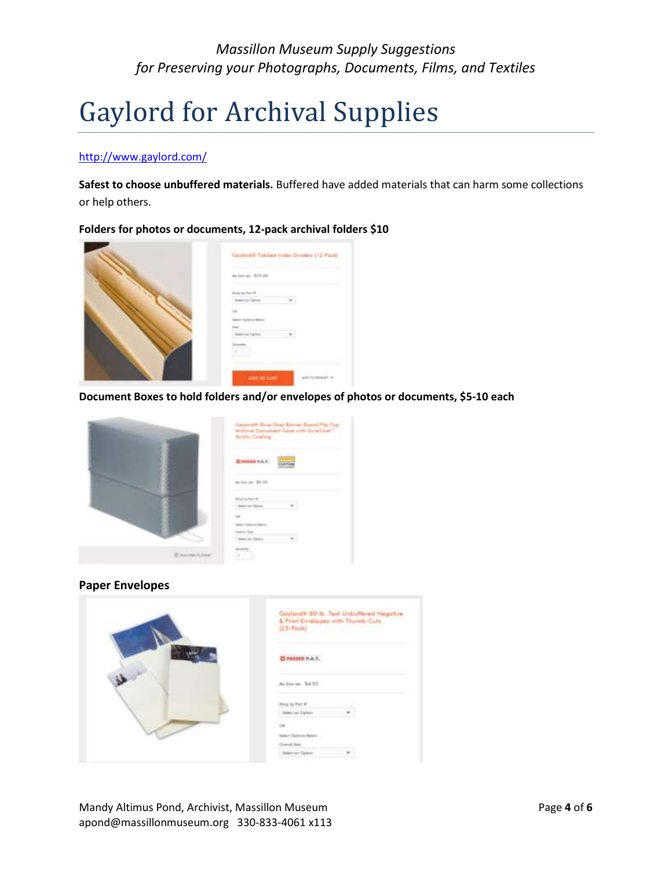# Gaylord for Archival Supplies

#### <http://www.gaylord.com/>

**Safest to choose unbuffered materials.** Buffered have added materials that can harm some collections or help others.

#### **Folders for photos or documents, 12-pack archival folders \$10**



**Document Boxes to hold folders and/or envelopes of photos or documents, \$5-10 each**



#### **Paper Envelopes**

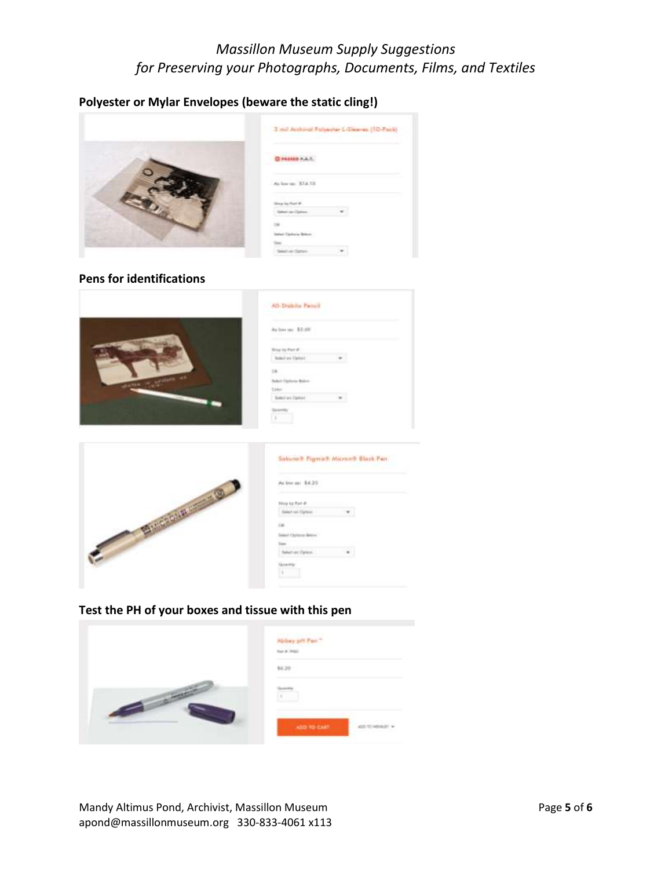## **Polyester or Mylar Envelopes (beware the static cling!)**



## **Pens for identifications**



| w                          |   |  |
|----------------------------|---|--|
| an was<br><b>Harry and</b> |   |  |
|                            |   |  |
|                            |   |  |
| dealer and                 | Ŧ |  |
| ٠                          |   |  |
| <b>SCALE</b><br>$-0.1$     |   |  |
|                            |   |  |
| aut an East                |   |  |



| v                   |  |
|---------------------|--|
|                     |  |
| babhi               |  |
| single and Christie |  |
|                     |  |
|                     |  |
|                     |  |
|                     |  |

## **Test the PH of your boxes and tissue with this pen**

| Abbey off Fan<br>that a local |  |  |
|-------------------------------|--|--|
| 86,20                         |  |  |
| ø                             |  |  |
| <b>ABO TO CART </b>           |  |  |